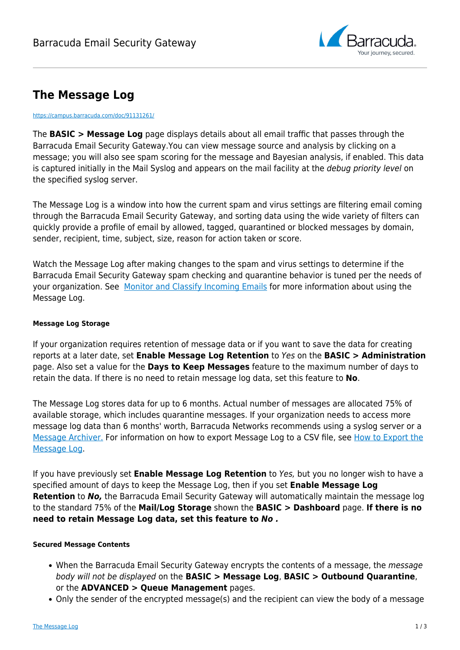

# **The Message Log**

#### <https://campus.barracuda.com/doc/91131261/>

The **BASIC > Message Log** page displays details about all email traffic that passes through the Barracuda Email Security Gateway.You can view message source and analysis by clicking on a message; you will also see spam scoring for the message and Bayesian analysis, if enabled. This data is captured initially in the Mail Syslog and appears on the mail facility at the *debug priority level* on the specified syslog server.

The Message Log is a window into how the current spam and virus settings are filtering email coming through the Barracuda Email Security Gateway, and sorting data using the wide variety of filters can quickly provide a profile of email by allowed, tagged, quarantined or blocked messages by domain, sender, recipient, time, subject, size, reason for action taken or score.

Watch the Message Log after making changes to the spam and virus settings to determine if the Barracuda Email Security Gateway spam checking and quarantine behavior is tuned per the needs of your organization. See [Monitor and Classify Incoming Emails](http://campus.barracuda.com/doc/3866631/) for more information about using the Message Log.

#### **Message Log Storage**

If your organization requires retention of message data or if you want to save the data for creating reports at a later date, set **Enable Message Log Retention** to Yes on the **BASIC > Administration** page. Also set a value for the **Days to Keep Messages** feature to the maximum number of days to retain the data. If there is no need to retain message log data, set this feature to **No**.

The Message Log stores data for up to 6 months. Actual number of messages are allocated 75% of available storage, which includes quarantine messages. If your organization needs to access more message log data than 6 months' worth, Barracuda Networks recommends using a syslog server or a [Message Archiver.](http://campus.barracuda.com/doc/2490435/) For information on how to export Message Log to a CSV file, see [How to Export the](http://campus.barracuda.com/doc/77402367/) [Message Log.](http://campus.barracuda.com/doc/77402367/)

If you have previously set **Enable Message Log Retention** to Yes, but you no longer wish to have a specified amount of days to keep the Message Log, then if you set **Enable Message Log Retention** to *No,* the Barracuda Email Security Gateway will automatically maintain the message log to the standard 75% of the **Mail/Log Storage** shown the **BASIC > Dashboard** page. **If there is no need to retain Message Log data, set this feature to** *No .*

### **Secured Message Contents**

- When the Barracuda Email Security Gateway encrypts the contents of a message, the message body will not be displayed on the **BASIC > Message Log**, **BASIC > Outbound Quarantine**, or the **ADVANCED > Queue Management** pages.
- Only the sender of the encrypted message(s) and the recipient can view the body of a message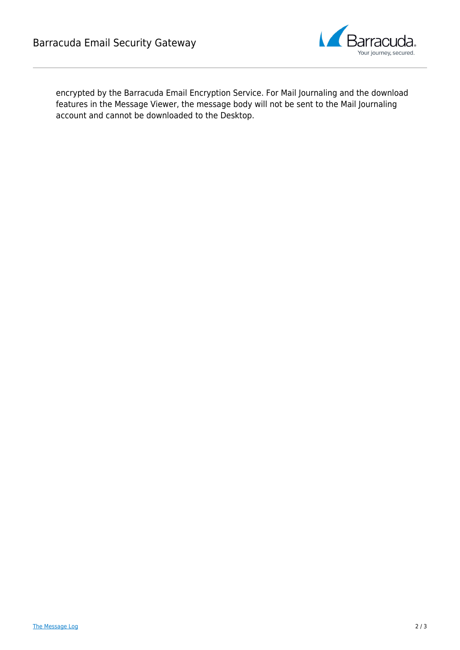

encrypted by the Barracuda Email Encryption Service. For Mail Journaling and the download features in the Message Viewer, the message body will not be sent to the Mail Journaling account and cannot be downloaded to the Desktop.